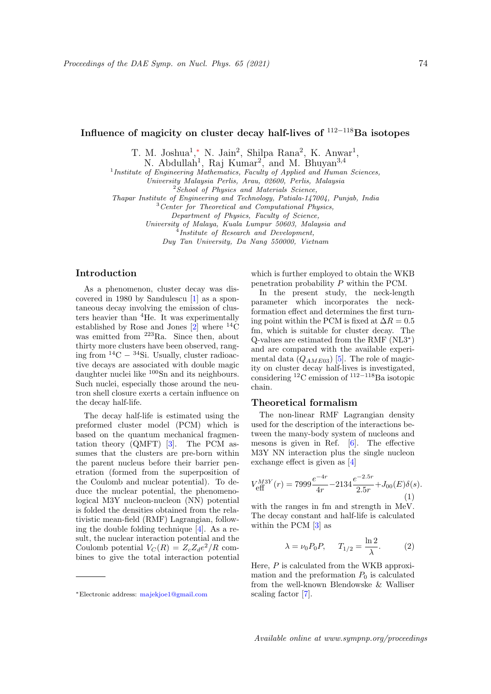# Influence of magicity on cluster decay half-lives of <sup>112</sup>−<sup>118</sup>Ba isotopes

T. M. Joshua<sup>1</sup>,\* N. Jain<sup>2</sup>, Shilpa Rana<sup>2</sup>, K. Anwar<sup>1</sup>,

N. Abdullah<sup>1</sup>, Raj Kumar<sup>2</sup>, and M. Bhuyan<sup>3,4</sup>

<sup>1</sup> Institute of Engineering Mathematics, Faculty of Applied and Human Sciences,

University Malaysia Perlis, Arau, 02600, Perlis, Malaysia

<sup>2</sup>School of Physics and Materials Science,

Thapar Institute of Engineering and Technology, Patiala-147004, Punjab, India

 $3$  Center for Theoretical and Computational Physics,

Department of Physics, Faculty of Science,

University of Malaya, Kuala Lumpur 50603, Malaysia and

<sup>4</sup>Institute of Research and Development,

Duy Tan University, Da Nang 550000, Vietnam

## Introduction

As a phenomenon, cluster decay was discovered in 1980 by Sandulescu [1] as a spontaneous decay involving the emission of clusters heavier than <sup>4</sup>He. It was experimentally established by Rose and Jones  $[2]$  where <sup>14</sup>C was emitted from <sup>223</sup>Ra. Since then, about thirty more clusters have been observed, ranging from  ${}^{14}C - {}^{34}Si$ . Usually, cluster radioactive decays are associated with double magic daughter nuclei like <sup>100</sup>Sn and its neighbours. Such nuclei, especially those around the neutron shell closure exerts a certain influence on the decay half-life.

The decay half-life is estimated using the preformed cluster model (PCM) which is based on the quantum mechanical fragmentation theory (QMFT) [3]. The PCM assumes that the clusters are pre-born within the parent nucleus before their barrier penetration (formed from the superposition of the Coulomb and nuclear potential). To deduce the nuclear potential, the phenomenological M3Y nucleon-nucleon (NN) potential is folded the densities obtained from the relativistic mean-field (RMF) Lagrangian, following the double folding technique [4]. As a result, the nuclear interaction potential and the Coulomb potential  $V_C(R) = Z_c Z_d e^2/R$  combines to give the total interaction potential

which is further employed to obtain the WKB penetration probability P within the PCM.

In the present study, the neck-length parameter which incorporates the neckformation effect and determines the first turning point within the PCM is fixed at  $\Delta R = 0.5$ fm, which is suitable for cluster decay. The Q-values are estimated from the RMF (NL3<sup>∗</sup> ) and are compared with the available experimental data  $(Q_{AME03})$  [5]. The role of magicity on cluster decay half-lives is investigated, considering <sup>12</sup>C emission of <sup>112</sup>−118Ba isotopic chain.

#### Theoretical formalism

The non-linear RMF Lagrangian density used for the description of the interactions between the many-body system of nucleons and mesons is given in Ref. [6]. The effective M3Y NN interaction plus the single nucleon exchange effect is given as [4]

$$
V_{\text{eff}}^{M3Y}(r) = 7999 \frac{e^{-4r}}{4r} - 2134 \frac{e^{-2.5r}}{2.5r} + J_{00}(E)\delta(s). \tag{1}
$$

with the ranges in fm and strength in MeV. The decay constant and half-life is calculated within the PCM [3] as

$$
\lambda = \nu_0 P_0 P, \qquad T_{1/2} = \frac{\ln 2}{\lambda}.
$$
 (2)

Here,  $P$  is calculated from the WKB approximation and the preformation  $P_0$  is calculated from the well-known Blendowske & Walliser scaling factor [7].

Available online at www.sympnp.org/proceedings

<sup>∗</sup>Electronic address: majekjoe1@gmail.com